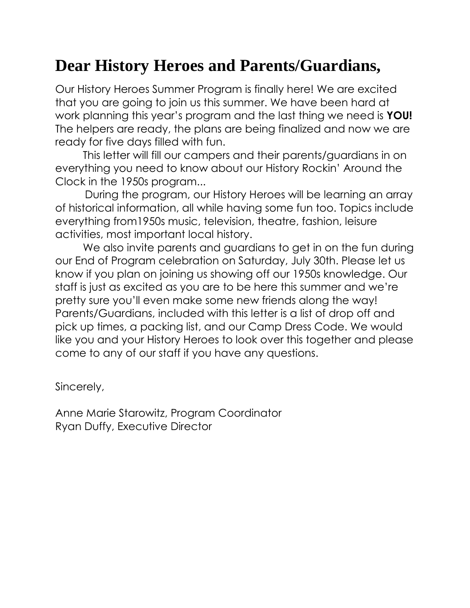# **Dear History Heroes and Parents/Guardians,**

Our History Heroes Summer Program is finally here! We are excited that you are going to join us this summer. We have been hard at work planning this year's program and the last thing we need is **YOU!** The helpers are ready, the plans are being finalized and now we are ready for five days filled with fun.

This letter will fill our campers and their parents/guardians in on everything you need to know about our History Rockin' Around the Clock in the 1950s program...

 During the program, our History Heroes will be learning an array of historical information, all while having some fun too. Topics include everything from1950s music, television, theatre, fashion, leisure activities, most important local history.

We also invite parents and guardians to get in on the fun during our End of Program celebration on Saturday, July 30th. Please let us know if you plan on joining us showing off our 1950s knowledge. Our staff is just as excited as you are to be here this summer and we're pretty sure you'll even make some new friends along the way! Parents/Guardians, included with this letter is a list of drop off and pick up times, a packing list, and our Camp Dress Code. We would like you and your History Heroes to look over this together and please come to any of our staff if you have any questions.

Sincerely,

Anne Marie Starowitz, Program Coordinator Ryan Duffy, Executive Director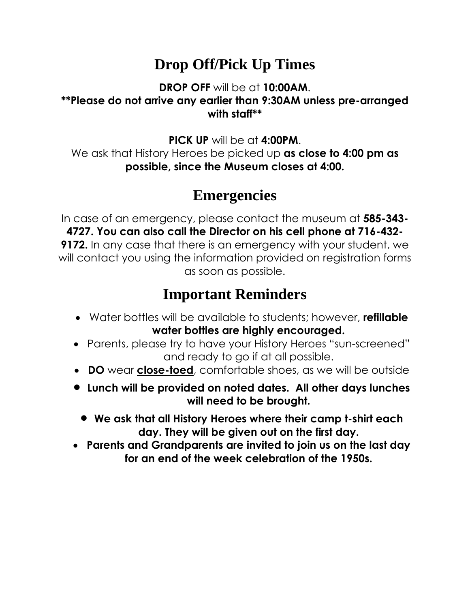## **Drop Off/Pick Up Times**

#### **DROP OFF** will be at **10:00AM**. **\*\*Please do not arrive any earlier than 9:30AM unless pre-arranged with staff\*\***

**PICK UP** will be at **4:00PM**. We ask that History Heroes be picked up **as close to 4:00 pm as possible, since the Museum closes at 4:00.**

## **Emergencies**

In case of an emergency, please contact the museum at **585-343- 4727. You can also call the Director on his cell phone at 716-432- 9172.** In any case that there is an emergency with your student, we will contact you using the information provided on registration forms as soon as possible.

## **Important Reminders**

- Water bottles will be available to students; however, **refillable water bottles are highly encouraged.**
- Parents, please try to have your History Heroes "sun-screened" and ready to go if at all possible.
- **DO** wear **close-toed**, comfortable shoes, as we will be outside
- **Lunch will be provided on noted dates. All other days lunches will need to be brought.**
	- **We ask that all History Heroes where their camp t-shirt each day. They will be given out on the first day.**
- **Parents and Grandparents are invited to join us on the last day for an end of the week celebration of the 1950s.**